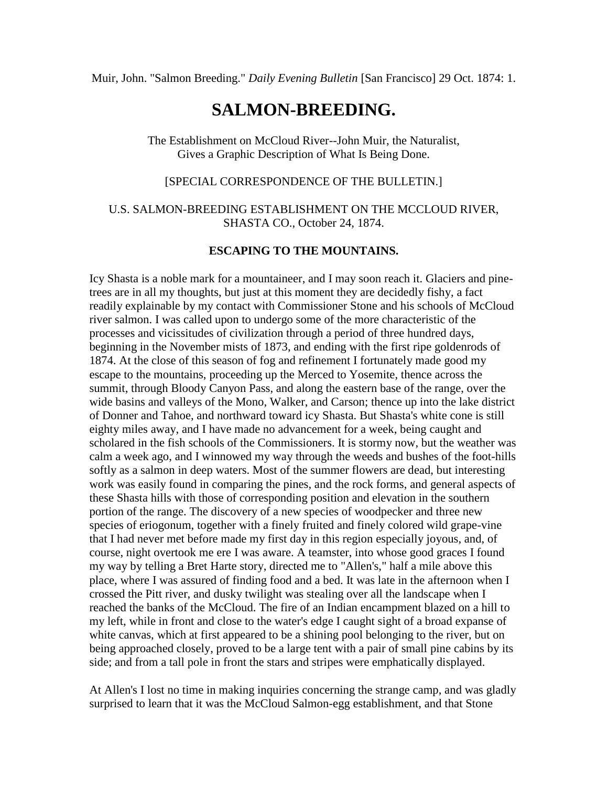Muir, John. "Salmon Breeding." *Daily Evening Bulletin* [San Francisco] 29 Oct. 1874: 1.

# **SALMON-BREEDING.**

The Establishment on McCloud River--John Muir, the Naturalist, Gives a Graphic Description of What Is Being Done.

#### [SPECIAL CORRESPONDENCE OF THE BULLETIN.]

### U.S. SALMON-BREEDING ESTABLISHMENT ON THE MCCLOUD RIVER, SHASTA CO., October 24, 1874.

#### **ESCAPING TO THE MOUNTAINS.**

Icy Shasta is a noble mark for a mountaineer, and I may soon reach it. Glaciers and pinetrees are in all my thoughts, but just at this moment they are decidedly fishy, a fact readily explainable by my contact with Commissioner Stone and his schools of McCloud river salmon. I was called upon to undergo some of the more characteristic of the processes and vicissitudes of civilization through a period of three hundred days, beginning in the November mists of 1873, and ending with the first ripe goldenrods of 1874. At the close of this season of fog and refinement I fortunately made good my escape to the mountains, proceeding up the Merced to Yosemite, thence across the summit, through Bloody Canyon Pass, and along the eastern base of the range, over the wide basins and valleys of the Mono, Walker, and Carson; thence up into the lake district of Donner and Tahoe, and northward toward icy Shasta. But Shasta's white cone is still eighty miles away, and I have made no advancement for a week, being caught and scholared in the fish schools of the Commissioners. It is stormy now, but the weather was calm a week ago, and I winnowed my way through the weeds and bushes of the foot-hills softly as a salmon in deep waters. Most of the summer flowers are dead, but interesting work was easily found in comparing the pines, and the rock forms, and general aspects of these Shasta hills with those of corresponding position and elevation in the southern portion of the range. The discovery of a new species of woodpecker and three new species of eriogonum, together with a finely fruited and finely colored wild grape-vine that I had never met before made my first day in this region especially joyous, and, of course, night overtook me ere I was aware. A teamster, into whose good graces I found my way by telling a Bret Harte story, directed me to "Allen's," half a mile above this place, where I was assured of finding food and a bed. It was late in the afternoon when I crossed the Pitt river, and dusky twilight was stealing over all the landscape when I reached the banks of the McCloud. The fire of an Indian encampment blazed on a hill to my left, while in front and close to the water's edge I caught sight of a broad expanse of white canvas, which at first appeared to be a shining pool belonging to the river, but on being approached closely, proved to be a large tent with a pair of small pine cabins by its side; and from a tall pole in front the stars and stripes were emphatically displayed.

At Allen's I lost no time in making inquiries concerning the strange camp, and was gladly surprised to learn that it was the McCloud Salmon-egg establishment, and that Stone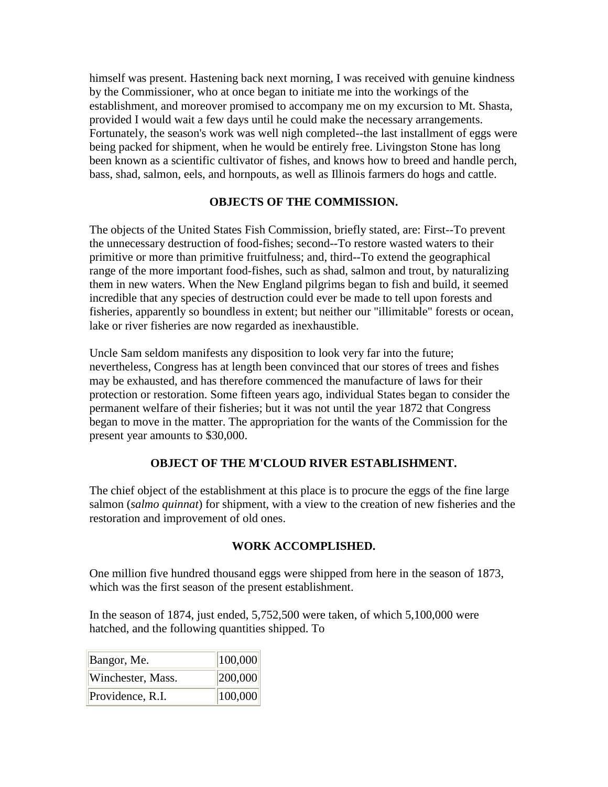himself was present. Hastening back next morning, I was received with genuine kindness by the Commissioner, who at once began to initiate me into the workings of the establishment, and moreover promised to accompany me on my excursion to Mt. Shasta, provided I would wait a few days until he could make the necessary arrangements. Fortunately, the season's work was well nigh completed--the last installment of eggs were being packed for shipment, when he would be entirely free. Livingston Stone has long been known as a scientific cultivator of fishes, and knows how to breed and handle perch, bass, shad, salmon, eels, and hornpouts, as well as Illinois farmers do hogs and cattle.

# **OBJECTS OF THE COMMISSION.**

The objects of the United States Fish Commission, briefly stated, are: First--To prevent the unnecessary destruction of food-fishes; second--To restore wasted waters to their primitive or more than primitive fruitfulness; and, third--To extend the geographical range of the more important food-fishes, such as shad, salmon and trout, by naturalizing them in new waters. When the New England pilgrims began to fish and build, it seemed incredible that any species of destruction could ever be made to tell upon forests and fisheries, apparently so boundless in extent; but neither our "illimitable" forests or ocean, lake or river fisheries are now regarded as inexhaustible.

Uncle Sam seldom manifests any disposition to look very far into the future; nevertheless, Congress has at length been convinced that our stores of trees and fishes may be exhausted, and has therefore commenced the manufacture of laws for their protection or restoration. Some fifteen years ago, individual States began to consider the permanent welfare of their fisheries; but it was not until the year 1872 that Congress began to move in the matter. The appropriation for the wants of the Commission for the present year amounts to \$30,000.

# **OBJECT OF THE M'CLOUD RIVER ESTABLISHMENT.**

The chief object of the establishment at this place is to procure the eggs of the fine large salmon (*salmo quinnat*) for shipment, with a view to the creation of new fisheries and the restoration and improvement of old ones.

# **WORK ACCOMPLISHED.**

One million five hundred thousand eggs were shipped from here in the season of 1873, which was the first season of the present establishment.

In the season of 1874, just ended, 5,752,500 were taken, of which 5,100,000 were hatched, and the following quantities shipped. To

| Bangor, Me.       | 100,000 |
|-------------------|---------|
| Winchester, Mass. | 200,000 |
| Providence, R.I.  | 100,000 |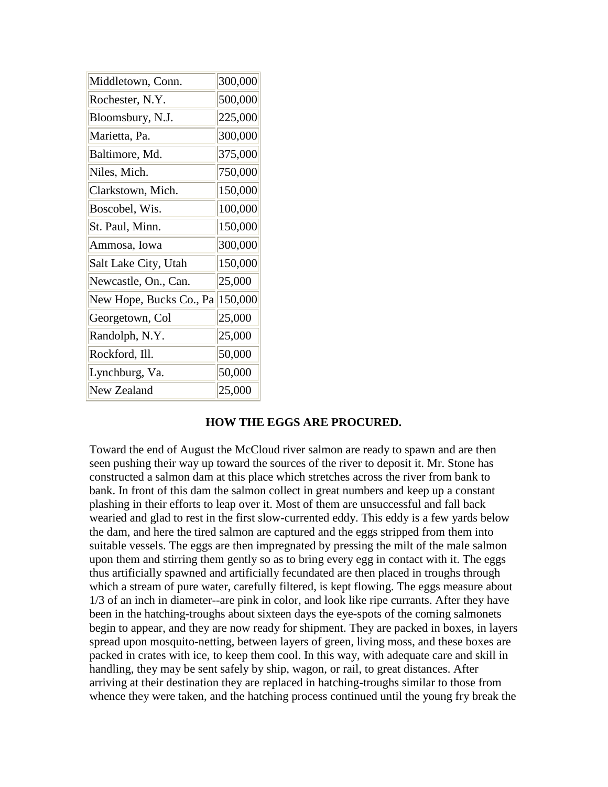| Middletown, Conn.       | 300,000 |
|-------------------------|---------|
| Rochester, N.Y.         | 500,000 |
| Bloomsbury, N.J.        | 225,000 |
| Marietta, Pa.           | 300,000 |
| Baltimore, Md.          | 375,000 |
| Niles, Mich.            | 750,000 |
| Clarkstown, Mich.       | 150,000 |
| Boscobel, Wis.          | 100,000 |
| St. Paul, Minn.         | 150,000 |
| Ammosa, Iowa            | 300,000 |
| Salt Lake City, Utah    | 150,000 |
| Newcastle, On., Can.    | 25,000  |
| New Hope, Bucks Co., Pa | 150,000 |
| Georgetown, Col         | 25,000  |
| Randolph, N.Y.          | 25,000  |
| Rockford, Ill.          | 50,000  |
| Lynchburg, Va.          | 50,000  |
| New Zealand             | 25,000  |

#### **HOW THE EGGS ARE PROCURED.**

Toward the end of August the McCloud river salmon are ready to spawn and are then seen pushing their way up toward the sources of the river to deposit it. Mr. Stone has constructed a salmon dam at this place which stretches across the river from bank to bank. In front of this dam the salmon collect in great numbers and keep up a constant plashing in their efforts to leap over it. Most of them are unsuccessful and fall back wearied and glad to rest in the first slow-currented eddy. This eddy is a few yards below the dam, and here the tired salmon are captured and the eggs stripped from them into suitable vessels. The eggs are then impregnated by pressing the milt of the male salmon upon them and stirring them gently so as to bring every egg in contact with it. The eggs thus artificially spawned and artificially fecundated are then placed in troughs through which a stream of pure water, carefully filtered, is kept flowing. The eggs measure about 1/3 of an inch in diameter--are pink in color, and look like ripe currants. After they have been in the hatching-troughs about sixteen days the eye-spots of the coming salmonets begin to appear, and they are now ready for shipment. They are packed in boxes, in layers spread upon mosquito-netting, between layers of green, living moss, and these boxes are packed in crates with ice, to keep them cool. In this way, with adequate care and skill in handling, they may be sent safely by ship, wagon, or rail, to great distances. After arriving at their destination they are replaced in hatching-troughs similar to those from whence they were taken, and the hatching process continued until the young fry break the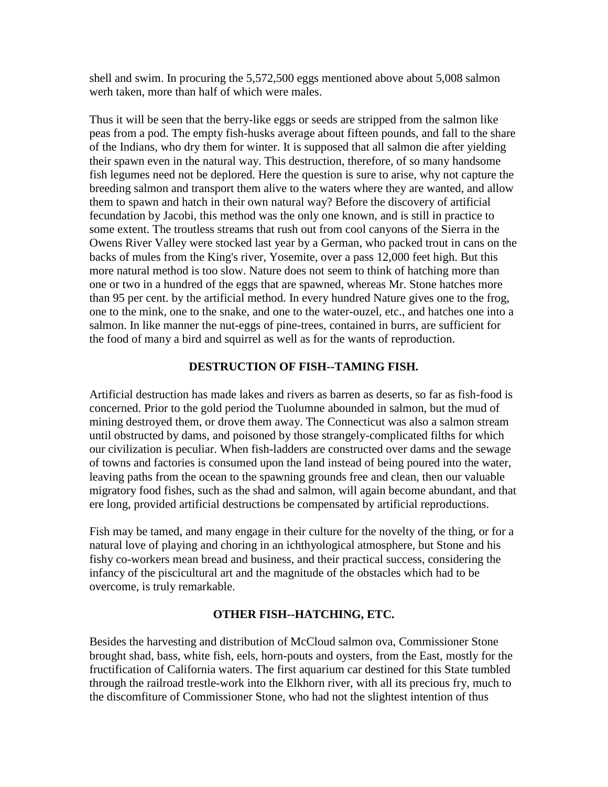shell and swim. In procuring the 5,572,500 eggs mentioned above about 5,008 salmon werh taken, more than half of which were males.

Thus it will be seen that the berry-like eggs or seeds are stripped from the salmon like peas from a pod. The empty fish-husks average about fifteen pounds, and fall to the share of the Indians, who dry them for winter. It is supposed that all salmon die after yielding their spawn even in the natural way. This destruction, therefore, of so many handsome fish legumes need not be deplored. Here the question is sure to arise, why not capture the breeding salmon and transport them alive to the waters where they are wanted, and allow them to spawn and hatch in their own natural way? Before the discovery of artificial fecundation by Jacobi, this method was the only one known, and is still in practice to some extent. The troutless streams that rush out from cool canyons of the Sierra in the Owens River Valley were stocked last year by a German, who packed trout in cans on the backs of mules from the King's river, Yosemite, over a pass 12,000 feet high. But this more natural method is too slow. Nature does not seem to think of hatching more than one or two in a hundred of the eggs that are spawned, whereas Mr. Stone hatches more than 95 per cent. by the artificial method. In every hundred Nature gives one to the frog, one to the mink, one to the snake, and one to the water-ouzel, etc., and hatches one into a salmon. In like manner the nut-eggs of pine-trees, contained in burrs, are sufficient for the food of many a bird and squirrel as well as for the wants of reproduction.

### **DESTRUCTION OF FISH--TAMING FISH.**

Artificial destruction has made lakes and rivers as barren as deserts, so far as fish-food is concerned. Prior to the gold period the Tuolumne abounded in salmon, but the mud of mining destroyed them, or drove them away. The Connecticut was also a salmon stream until obstructed by dams, and poisoned by those strangely-complicated filths for which our civilization is peculiar. When fish-ladders are constructed over dams and the sewage of towns and factories is consumed upon the land instead of being poured into the water, leaving paths from the ocean to the spawning grounds free and clean, then our valuable migratory food fishes, such as the shad and salmon, will again become abundant, and that ere long, provided artificial destructions be compensated by artificial reproductions.

Fish may be tamed, and many engage in their culture for the novelty of the thing, or for a natural love of playing and choring in an ichthyological atmosphere, but Stone and his fishy co-workers mean bread and business, and their practical success, considering the infancy of the piscicultural art and the magnitude of the obstacles which had to be overcome, is truly remarkable.

# **OTHER FISH--HATCHING, ETC.**

Besides the harvesting and distribution of McCloud salmon ova, Commissioner Stone brought shad, bass, white fish, eels, horn-pouts and oysters, from the East, mostly for the fructification of California waters. The first aquarium car destined for this State tumbled through the railroad trestle-work into the Elkhorn river, with all its precious fry, much to the discomfiture of Commissioner Stone, who had not the slightest intention of thus